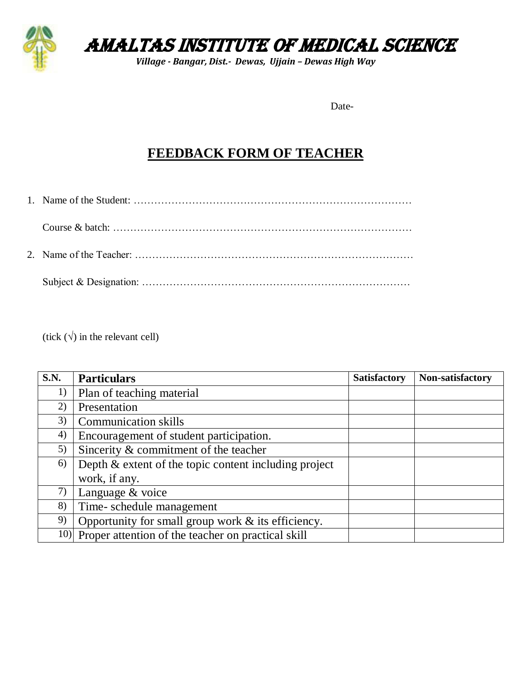

AMALTAS INSTITUTE OF MEDICAL SCIENCE

*Village - Bangar, Dist.- Dewas, Ujjain – Dewas High Way*

Date-

## **FEEDBACK FORM OF TEACHER**

(tick  $(\forall)$  in the relevant cell)

| <b>S.N.</b> | <b>Particulars</b>                                      | <b>Satisfactory</b> | Non-satisfactory |
|-------------|---------------------------------------------------------|---------------------|------------------|
| 1)          | Plan of teaching material                               |                     |                  |
| 2)          | Presentation                                            |                     |                  |
| 3)          | <b>Communication skills</b>                             |                     |                  |
| 4)          | Encouragement of student participation.                 |                     |                  |
| 5)          | Sincerity & commitment of the teacher                   |                     |                  |
| 6)          | Depth $&$ extent of the topic content including project |                     |                  |
|             | work, if any.                                           |                     |                  |
| 7)          | Language & voice                                        |                     |                  |
| 8)          | Time-schedule management                                |                     |                  |
| 9)          | Opportunity for small group work $\&$ its efficiency.   |                     |                  |
| 10)         | Proper attention of the teacher on practical skill      |                     |                  |